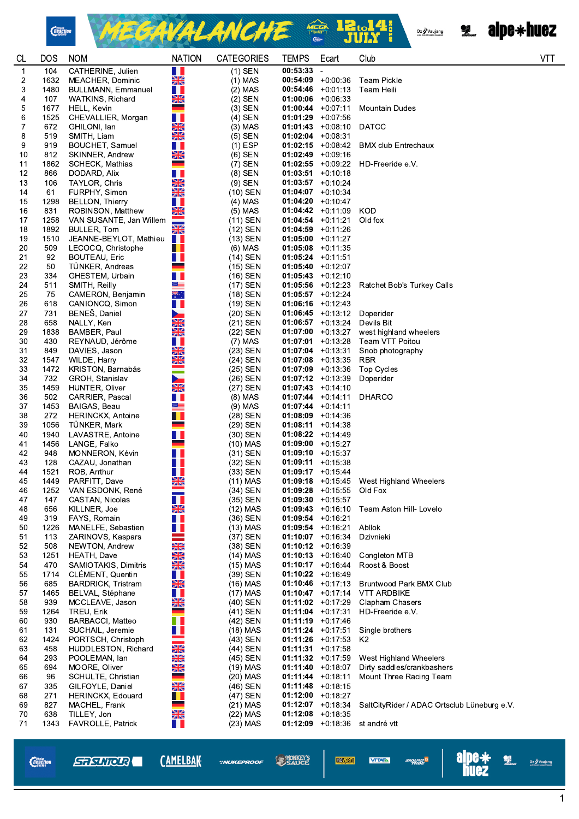

*Chain*<br>*Reaction* 



Oz Vaujany



| <b>CL</b>      | <b>DOS</b>  | <b>NOM</b>                               | <b>NATION</b>           | <b>CATEGORIES</b>       | <b>TEMPS</b>         | Ecart                                       | Club                                                 | <b>VTT</b> |
|----------------|-------------|------------------------------------------|-------------------------|-------------------------|----------------------|---------------------------------------------|------------------------------------------------------|------------|
| $\mathbf 1$    | 104         | CATHERINE, Julien                        | H                       | $(1)$ SEN               | $00:53:33 -$         |                                             |                                                      |            |
| 2              | 1632        | MEACHER, Dominic                         | $\frac{N}{N}$           | $(1)$ MAS               |                      | $00:54:09$ +0:00:36                         | <b>Team Pickle</b>                                   |            |
| 3              | 1480        | <b>BULLMANN, Emmanuel</b>                | H.                      | $(2)$ MAS               | 00:54:46             | +0:01:13                                    | Team Heili                                           |            |
| 4              | 107         | <b>WATKINS, Richard</b>                  | XK                      | $(2)$ SEN               | $01:00:06$ +0:06:33  |                                             |                                                      |            |
| 5              | 1677        | HELL, Kevin                              |                         | $(3)$ SEN               |                      | $01:00:44$ +0:07:11                         | <b>Mountain Dudes</b>                                |            |
| 6              | 1525        | CHEVALLIER, Morgan                       | ш                       | $(4)$ SEN               |                      | $01:01:29$ +0:07 56                         |                                                      |            |
| $\overline{7}$ | 672         | GHILONI, Ian                             | <b>RENE</b>             | (3) MAS                 |                      | $01:01:43$ +0:08:10                         | <b>DATCC</b>                                         |            |
| 8<br>9         | 519<br>919  | SMITH, Liam<br>BOUCHET, Samuel           | H                       | $(5)$ SEN<br>$(1)$ ESP  | $01:02:04$ +0:08:31  | $01:02:15$ +0:08:42                         | <b>BMX club Entrechaux</b>                           |            |
| 10             | 812         | SKINNER, Andrew                          | XX                      | $(6)$ SEN               |                      | $01:02:49$ +0:09:16                         |                                                      |            |
| 11             | 1862        | <b>SCHECK, Mathias</b>                   | ٠                       | $(7)$ SEN               |                      | $01:02:55$ +0:09:22                         | HD-Freeride e.V.                                     |            |
| 12             | 866         | DODARD, Alix                             | H.                      | $(8)$ SEN               |                      | $01:03:51 + 0:10:18$                        |                                                      |            |
| 13             | 106         | TAYLOR, Chris                            |                         | $(9)$ SEN               |                      | $01:03:57$ +0:10 24                         |                                                      |            |
| 14             | 61          | FURPHY, Simon                            | <b>REAK</b>             | $(10)$ SEN              | $01:04:07$ +0:10:34  |                                             |                                                      |            |
| 15             | 1298        | <b>BELLON, Thierry</b>                   | Ш                       | $(4)$ MAS               |                      | $01:04:20 +0:10:47$                         |                                                      |            |
| 16             | 831         | ROBINSON, Matthew                        | <b>NK</b>               | $(5)$ MAS               |                      | $01:04:42$ +0:11:09                         | KOD                                                  |            |
| 17             | 1258        | VAN SUSANTE, Jan Willem                  |                         | $(11)$ SEN              |                      | $01:04:54$ +0:11:21                         | Old fox                                              |            |
| 18             | 1892        | BULLER, Tom                              | $\frac{N}{2}$           | (12) SEN                |                      | $01:04:59$ +0:11.26                         |                                                      |            |
| 19             | 1510        | JEANNE-BEYLOT, Mathieu                   | H I                     | $(13)$ SEN              |                      | $01:05:00 +0:11:27$                         |                                                      |            |
| 20             | 509         | LECOCQ, Christophe                       | a ka                    | (6) MAS                 |                      | $01:05:08$ +0:11:35                         |                                                      |            |
| 21             | 92          | BOUTEAU, Eric                            | H.                      | (14) SEN                | $01:05:24$ +0:11:51  |                                             |                                                      |            |
| 22             | 50          | TÜNKER, Andreas                          |                         | $(15)$ SEN              |                      | $01:05:40 +0:12:07$                         |                                                      |            |
| 23             | 334         | GHESTEM, Urbain                          | H I<br>≝≡               | (16) SEN                |                      | $01:05:43$ +0:12:10                         |                                                      |            |
| 24<br>25       | 511<br>75   | SMITH, Reilly<br>CAMERON, Benjamin       | **                      | (17) SEN<br>(18) SEN    |                      | $01:05:56$ +0:12:23<br>$01:05:57$ +0:12:24  | Ratchet Bob's Turkey Calls                           |            |
| 26             | 618         | CANIONCQ, Simon                          | H                       | (19) SEN                |                      | $01:06:16$ +0:12:43                         |                                                      |            |
| 27             | 731         | BENEŠ, Daniel                            | ►                       | (20) SEN                |                      | $01:06:45 +0:13.12$                         | Doperider                                            |            |
| 28             | 658         | NALLY, Ken                               | $\frac{N}{2}$           | (21) SEN                |                      | $01:06:57$ +0:13:24                         | Devils Bit                                           |            |
| 29             | 1838        | BAMBER, Paul                             | <b>SK</b>               | (22) SEN                |                      | $01:07:00$ +0:13:27                         | west highland wheelers                               |            |
| 30             | 430         | REYNAUD, Jérôme                          | H.                      | (7) MAS                 |                      | $01:07:01$ +0:13:28                         | Team VTT Poitou                                      |            |
| 31             | 849         | DAVIES, Jason                            |                         | $(23)$ SEN              | $01:07:04$ +0:13:31  |                                             | Snob photography                                     |            |
| 32             | 1547        | WILDE, Harry                             |                         | (24) SEN                |                      | $01:07:08$ +0:13:35                         | <b>RBR</b>                                           |            |
| 33             | 1472        | KRISTON, Barnabás                        | <b>REAK</b>             | $(25)$ SEN              |                      | $01:07:09$ +0:13:36                         | <b>Top Cycles</b>                                    |            |
| 34             | 732         | GROH, Stanislav                          | ►                       | (26) SEN                |                      | $01:07:12 +0:13.39$                         | Doperider                                            |            |
| 35             | 1459        | HUNTER, Oliver                           | XK                      | (27) SEN                |                      | $01:07:43 +0:14:10$                         |                                                      |            |
| 36             | 502         | CARRIER, Pascal                          | H.<br>▓▆                | $(8)$ MAS               |                      | $01:07:44$ +0:14:11                         | <b>DHARCO</b>                                        |            |
| 37<br>38       | 1453<br>272 | BAIGAS, Beau<br><b>HERINCKX, Antoine</b> | $\blacksquare$          | $(9)$ MAS<br>$(28)$ SEN | $01:07:44$ +0:14:11  | $01:08:09$ +0:14:36                         |                                                      |            |
| 39             | 1056        | TUNKER, Mark                             | ۰                       | (29) SEN                | $01:08:11 + 0:14:38$ |                                             |                                                      |            |
| 40             | 1940        | LAVASTRE, Antoine                        | ш                       | $(30)$ SEN              |                      | $01:08:22 +0:14:49$                         |                                                      |            |
| 41             | 1456        | LANGE, Falko                             |                         | $(10)$ MAS              |                      | $01:09:00$ +0:15.27                         |                                                      |            |
| 42             | 948         | MONNERON, Kévin                          | H I                     | $(31)$ SEN              | $01:09:10 + 0:15:37$ |                                             |                                                      |            |
| 43             | 128         | CAZAU, Jonathan                          | H I                     | (32) SEN                |                      | $01:09:11 + 0:15.38$                        |                                                      |            |
| 44             | 1521        | ROB, Arrthur                             | H.                      | $(33)$ SEN              |                      | $01:09:17$ +0:15:44                         |                                                      |            |
| 45             | 1449        | PARFITT, Dave                            | ▧▨<br>ZN                | $(11)$ MAS              |                      |                                             | $01:09:18$ +0:15:45 West Highland Wheelers           |            |
| 46             | 1252        | VAN ESDONK, René                         |                         | (34) SEN                |                      | $01:09:28$ +0:15:55                         | Old Fox                                              |            |
| 47             | 147         | CASTAN, Nicolas                          | $\overline{\mathbf{1}}$ | (35) SEN                |                      | $01:09:30 +0:15:57$                         |                                                      |            |
| 48             | 656         | KILLNER, Joe                             | <b>SK</b>               | $(12)$ MAS              |                      | $01:09:43 +0:16:10$                         | Team Aston Hill- Lovelo                              |            |
| 49<br>50       | 319<br>1226 | FAYS, Romain<br>MANELFE, Sebastien       | H I                     | $(36)$ SEN<br>(13) MAS  | 01:09:54             | +0:16:21<br>$01:09:54$ +0:16.21             | Abllok                                               |            |
| 51             | 113         | ZARINOVS, Kaspars                        | H.                      | (37) SEN                |                      | $01:10:07$ +0:16:34                         | Dzivnieki                                            |            |
| 52             | 508         | NEWTON, Andrew                           | <b>READERS</b>          | (38) SEN                |                      | $01:10:12$ +0:16:39                         |                                                      |            |
| 53             | 1251        | HEATH, Dave                              |                         | (14) MAS                |                      | $01:10:13 + 0:16:40$                        | Congleton MTB                                        |            |
| 54             | 470         | SAMIOTAKIS, Dimitris                     |                         | $(15)$ MAS              |                      | $01:10:17 + 0:16:44$                        | Roost & Boost                                        |            |
| 55             | 1714        | CLEMENT, Quentin                         | H                       | (39) SEN                |                      | $01:10:22 +0:16.49$                         |                                                      |            |
| 56             | 685         | <b>BARDRICK, Tristram</b>                | XX                      | $(16)$ MAS              |                      | $01:10:46$ +0:17:13                         | <b>Bruntwood Park BMX Club</b>                       |            |
| 57             | 1465        | BELVAL, Stéphane                         | H.                      | $(17)$ MAS              |                      | $01:10:47$ +0:17:14                         | <b>VTT ARDBIKE</b>                                   |            |
| 58             | 939         | MCCLEAVE, Jason                          | <b>NK</b>               | (40) SEN                |                      | $01:11:02 +0:17:29$                         | Clapham Chasers                                      |            |
| 59             | 1264        | TREU, Erik                               |                         | (41) SEN                | $01:11:04$ +0:17:31  |                                             | HD-Freeride e.V.                                     |            |
| 60             | 930         | <b>BARBACCI, Matteo</b>                  | M.                      | (42) SEN                |                      | $01:11:19 + 0:17:46$                        |                                                      |            |
| 61             | 131         | SUCHAIL, Jeremie                         | H.                      | $(18)$ MAS              | $01:11:24$ +0:17:51  |                                             | Single brothers                                      |            |
| 62             | 1424        | PORTSCH, Christoph                       | ≡                       | (43) SEN                |                      | $01:11:26$ +0:17:53                         | K2                                                   |            |
| 63             | 458         | HUDDLESTON, Richard                      | <b>NKAK</b><br>AKAK     | (44) SEN                | 01:11:31             | $+0:17:58$                                  |                                                      |            |
| 64<br>65       | 293<br>694  | POOLEMAN, lan<br>MOORE, Oliver           | <b>NK</b>               | (45) SEN<br>$(19)$ MAS  |                      | $01:11:32 +0:17:59$<br>$01:11:40 + 0:18:07$ | West Highland Wheelers<br>Dirty saddles/crankbashers |            |
| 66             | 96          | SCHULTE, Christian                       | ۰                       | (20) MAS                | $01:11:44$ +0:18:11  |                                             | Mount Three Racing Team                              |            |
| 67             | 335         | GILFOYLE, Daniel                         | $\frac{N}{2}$           | (46) SEN                |                      | $01:11:48$ +0:18:15                         |                                                      |            |
| 68             | 271         | HERINCKX, Edouard                        | Ш.                      | (47) SEN                | $01:12:00$ +0:18:27  |                                             |                                                      |            |
| 69             | 827         | MACHEL, Frank                            | سن                      | $(21)$ MAS              |                      | $01:12:07$ +0:18:34                         | SaltCityRider / ADAC Ortsclub Lüneburg e.V.          |            |
| 70             | 638         | TILLEY, Jon                              | <b>NK</b>               | $(22)$ MAS              |                      | $01:12:08$ +0:18:35                         |                                                      |            |
| 71             | 1343        | FAVROLLE, Patrick                        | H I                     | (23) MAS                |                      | $01:12:09$ +0:18:36                         | st andré vtt                                         |            |
|                |             |                                          |                         |                         |                      |                                             |                                                      |            |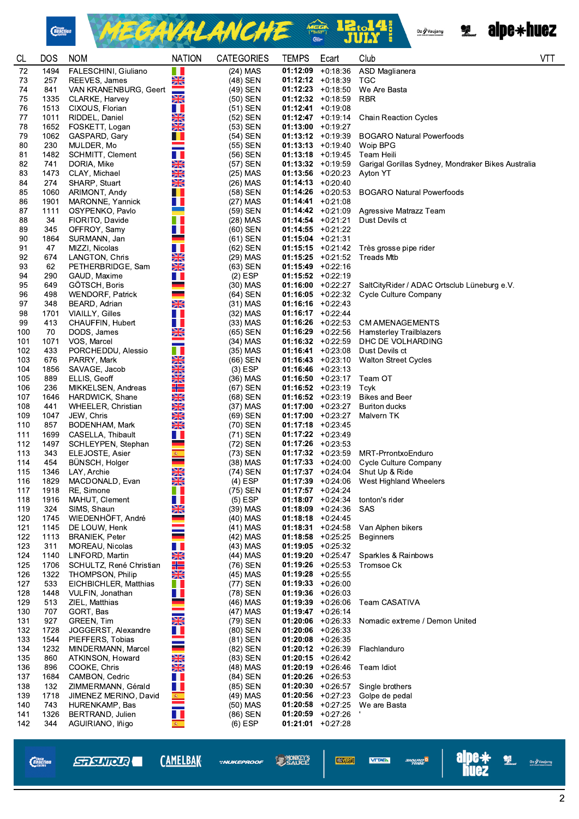

MEGAVALANCHE <sup>2</sup> 12.14



| CL         | <b>DOS</b>   | <b>NOM</b>                               | <b>NATION</b>       | <b>CATEGORIES</b>      | <b>TEMPS</b>                                | Ecart               | Club                                               | <b>VTT</b> |
|------------|--------------|------------------------------------------|---------------------|------------------------|---------------------------------------------|---------------------|----------------------------------------------------|------------|
| 72         | 1494         | FALESCHINI, Giuliano                     | H                   | $(24)$ MAS             | $01:12:09$ +0:18:36                         |                     | ASD Maglianera                                     |            |
| 73         | 257          | REEVES, James                            | $\frac{N}{N}$       | (48) SEN               | $01:12:12 + 0:18:39$                        |                     | TGC                                                |            |
| 74         | 841          | VAN KRANENBURG, Geert                    |                     | (49) SEN               | $01:12:23 +0:18:50$                         |                     | We Are Basta                                       |            |
| 75         | 1335         | CLARKE, Harvey                           | XK                  | (50) SEN               | $01:12:32 +0:18:59$                         |                     | <b>RBR</b>                                         |            |
| 76<br>77   | 1011         | 1513 CIXOUS, Florian<br>RIDDEL, Daniel   | H.<br>NK<br>An      | $(51)$ SEN<br>(52) SEN | $01:12:41 + 0:19:08$<br>$01:12:47$ +0:19:14 |                     | <b>Chain Reaction Cycles</b>                       |            |
| 78         | 1652         | FOSKETT, Logan                           | X                   | (53) SEN               | $01:13:00 +0:19:27$                         |                     |                                                    |            |
| 79         | 1062         | GASPARD, Gary                            | . .                 | (54) SEN               | $01:13:12 +0:19:39$                         |                     | <b>BOGARO Natural Powerfoods</b>                   |            |
| 80         | 230          | MULDER, Mo                               |                     | (55) SEN               | $01:13:13 + 0:19:40$                        |                     | Woip BPG                                           |            |
| 81         | 1482         | SCHMITT, Clement                         | H.                  | $(56)$ SEN             | $01:13:18$ +0:19:45                         |                     | Team Heili                                         |            |
| 82         | 741          | DORIA, Mike                              | XK                  | (57) SEN               | $01:13:32 +0:19:59$                         |                     | Garigal Gorillas Sydney, Mondraker Bikes Australia |            |
| 83         | 1473         | CLAY, Michael                            | NKARI               | $(25)$ MAS             | $01:13:56$ +0:20:23                         |                     | Ayton YT                                           |            |
| 84         | 274          | SHARP, Stuart                            |                     | $(26)$ MAS             | $01:14:13 + 0:20:40$                        |                     |                                                    |            |
| 85         | 1060         | ARIMONT, Andy                            | a ka                | (58) SEN               | $01:14:26$ +0:20:53                         |                     | <b>BOGARO Natural Powerfoods</b>                   |            |
| 86<br>87   | 1901<br>1111 | MARONNE, Yannick<br>OSYPENKO, Pavlo      | . .                 | $(27)$ MAS<br>(59) SEN | $01:14:41 + 0:21:08$<br>$01:14:42 +0:21:09$ |                     | Agressive Matrazz Team                             |            |
| 88         | 34           | FIORITO, Davide                          | ∎∎                  | $(28)$ MAS             | $01:14:54 + 0:21:21$                        |                     | Dust Devils ct                                     |            |
| 89         | 345          | OFFROY, Samy                             | a sa t              | (60) SEN               | $01:14:55 + 0:21.22$                        |                     |                                                    |            |
| 90         | 1864         | SURMANN, Jan                             |                     | $(61)$ SEN             | $01:15:04$ +0:21:31                         |                     |                                                    |            |
| 91         | 47           | MIZZI, Nicolas                           | H.                  | (62) SEN               |                                             | $01:15:15 + 0:2142$ | Très grosse pipe rider                             |            |
| 92         | 674          | LANGTON, Chris                           | XK                  | (29) MAS               | $01:15:25$ +0:21:52                         |                     | <b>Treads Mtb</b>                                  |            |
| 93         | 62           | PETHERBRIDGE, Sam                        | $\frac{N}{2}$       | $(63)$ SEN             | $01:15:49 +0:22:16$                         |                     |                                                    |            |
| 94         | 290          | GAUD, Maxime                             | H.                  | $(2)$ ESP              | $01:15:52 + 0:22:19$                        | $01:16:00 +0:22:27$ | SaltCityRider / ADAC Ortsclub Lüneburg e.V.        |            |
| 95<br>96   | 649<br>498   | GÖTSCH, Boris<br><b>WENDORF, Patrick</b> |                     | $(30)$ MAS<br>(64) SEN | $01:16:05 +0:22:32$                         |                     | <b>Cycle Culture Company</b>                       |            |
| 97         | 348          | BEARD, Adrian                            | X                   | $(31)$ MAS             | $01:16:16$ +0:22:43                         |                     |                                                    |            |
| 98         | 1701         | VIAILLY, Gilles                          | . .                 | $(32)$ MAS             | $01:16:17 + 0:22.44$                        |                     |                                                    |            |
| 99         | 413          | CHAUFFIN, Hubert                         | Ш                   | (33) MAS               | $01:16:26$ +0:22:53                         |                     | <b>CM AMENAGEMENTS</b>                             |            |
| 100        | 70           | DODS, James                              | NK<br>ZK            | $(65)$ SEN             | $01:16:29$ +0:22:56                         |                     | <b>Hamsterley Trailblazers</b>                     |            |
| 101        | 1071         | VOS, Marcel                              |                     | (34) MAS               | $01:16:32 +0:22:59$                         |                     | DHC DE VOLHARDING                                  |            |
| 102        | 433          | PORCHEDDU, Alessio                       | . .                 | $(35)$ MAS             | $01:16:41 + 0:23:08$                        |                     | Dust Devils ct                                     |            |
| 103        | 676          | PARRY, Mark                              | <b>NEVER</b>        | (66) SEN               | $01:16:43 +0:23:10$                         |                     | <b>Walton Street Cycles</b>                        |            |
| 104<br>105 | 1856<br>889  | SAVAGE, Jacob<br>ELLIS, Geoff            | XK                  | $(3)$ ESP<br>(36) MAS  | $01:16:46$ +0:23:13<br>$01:16:50 +0:23:17$  |                     | Team OT                                            |            |
| 106        | 236          | MIKKELSEN, Andreas                       | 22                  | $(67)$ SEN             | $01:16:52 +0:23:19$                         |                     | Tcyk                                               |            |
| 107        | 1646         | HARDWICK, Shane                          | NK<br>ZK            | (68) SEN               | $01:16:52 +0:23:19$                         |                     | <b>Bikes and Beer</b>                              |            |
| 108        | 441          | WHEELER, Christian                       |                     | (37) MAS               | $01:17:00$ +0:23:27                         |                     | Buriton ducks                                      |            |
| 109        | 1047         | JEW, Chris                               | <b>RANK</b>         | (69) SEN               | $01:17:00$ +0:23:27                         |                     | Malvern TK                                         |            |
| 110        | 857          | BODENHAM, Mark                           | $\frac{N}{N}$       | (70) SEN               | $01:17:18$ +0:23:45                         |                     |                                                    |            |
| 111        | 1699         | CASELLA, Thibault                        | H                   | (71) SEN               | $01:17:22 +0:23:49$                         |                     |                                                    |            |
| 112        | 1497         | SCHLEYPEN, Stephan                       |                     | (72) SEN               | $01:17:26$ +0:23.53                         |                     |                                                    |            |
| 113<br>114 | 343<br>454   | ELEJOSTE, Asier<br>BÜNSCH, Holger        | 瓣。                  | (73) SEN<br>(38) MAS   | $01:17:32 +0:23:59$<br>$01:17:33 + 0:24:00$ |                     | MRT-PrrontxoEnduro<br>Cycle Culture Company        |            |
| 115        |              | 1346 LAY, Archie                         | XK                  | (74) SEN               |                                             | $01:17:37 +0:24:04$ | Shut Up & Ride                                     |            |
| 116        | 1829         | MACDONALD, Evan                          | $\frac{N}{ZN}$      | $(4)$ ESP              |                                             |                     | 01:17:39 +0:24:06 West Highland Wheelers           |            |
| 117        | 1918         | RE, Simone                               | H L                 | (75) SEN               | $01:17:57$ +0:24:24                         |                     |                                                    |            |
| 118        | 1916         | MAHUT, Clement                           | H                   | $(5)$ ESP              | $01:18:07 +0:24:34$                         |                     | tonton's rider                                     |            |
| 119        | 324          | SIMS, Shaun                              | XK                  | (39) MAS               | $01:18:09$ +0:24:36                         |                     | SAS                                                |            |
| 120        | 1745         | WIEDENHÖFT, André                        |                     | $(40)$ MAS             | $01:18:18 + 0:24:45$                        |                     |                                                    |            |
| 121        | 1145         | DE LOUW, Henk<br><b>BRANIEK, Peter</b>   |                     | $(41)$ MAS             | $01:18:31 + 0:24:58$<br>$01:18:58$ +0:25:25 |                     | Van Alphen bikers                                  |            |
| 122<br>123 | 1113<br>311  | MOREAU, Nicolas                          | H.                  | (42) MAS<br>(43) MAS   | $01:19:05$ +0:25:32                         |                     | <b>Beginners</b>                                   |            |
| 124        | 1140         | LINFORD, Martin                          | <b>NK</b>           | (44) MAS               | $01:19:20 +0:25:47$                         |                     | Sparkles & Rainbows                                |            |
| 125        | 1706         | SCHULTZ, René Christian                  | 2 H                 | (76) SEN               | $01:19:26$ +0:25:53                         |                     | Tromsoe Ck                                         |            |
| 126        | 1322         | <b>THOMPSON, Philip</b>                  | XK                  | (45) MAS               | $01:19:28$ +0:25:55                         |                     |                                                    |            |
| 127        | 533          | EICHBICHLER, Matthias                    | W                   | (77) SEN               | $01:19:33 + 0:26:00$                        |                     |                                                    |            |
| 128        | 1448         | VULFIN, Jonathan                         | . .                 | (78) SEN               | $01:19:36$ +0:26:03                         |                     |                                                    |            |
| 129        | 513          | ZIEL, Matthias                           |                     | (46) MAS               | $01:19:39 + 0:26:06$                        |                     | Team CASATIVA                                      |            |
| 130        | 707          | GORT, Bas                                |                     | (47) MAS               | $01:19:47$ +0:26:14                         |                     |                                                    |            |
| 131<br>132 | 927<br>1728  | GREEN, Tim<br>JOGGERST, Alexandre        | XK                  | (79) SEN<br>(80) SEN   | $01:20:06$ +0:26:33<br>$01:20:06$ +0:26:33  |                     | Nomadic extreme / Demon United                     |            |
| 133        | 1544         | PIEFFERS, Tobias                         |                     | (81) SEN               | $01:20:08$ +0:26:35                         |                     |                                                    |            |
| 134        | 1232         | MINDERMANN, Marcel                       |                     | (82) SEN               | $01:20:12 + 0:26:39$                        |                     | Flachlanduro                                       |            |
| 135        | 860          | ATKINSON, Howard                         |                     | (83) SEN               | $01:20:15$ +0:26.42                         |                     |                                                    |            |
| 136        | 896          | COOKE, Chris                             | <b>NAVA</b><br>NAVA | (48) MAS               | $01:20:19$ +0:26:46                         |                     | Team Idiot                                         |            |
| 137        | 1684         | CAMBON, Cedric                           | Ш                   | (84) SEN               | $01:20:26$ +0:26:53                         |                     |                                                    |            |
| 138        | 132          | ZIMMERMANN, Gérald                       | . .                 | (85) SEN               | $01:20:30$ +0:26:57                         |                     | Single brothers                                    |            |
| 139        | 1718         | JIMENEZ MERINO, David                    |                     | (49) MAS               | $01:20:56$ +0:27:23                         |                     | Golpe de pedal                                     |            |
| 140<br>141 | 743<br>1326  | HURENKAMP, Bas<br>BERTRAND, Julien       |                     | (50) MAS<br>(86) SEN   | $01:20:58$ +0:27:25<br>$01:20:59$ +0:27:26  |                     | We are Basta                                       |            |
| 142        | 344          | AGUIRIANO, Iñigo                         | 魔                   | $(6)$ ESP              | $01:21:01$ +0:27:28                         |                     |                                                    |            |
|            |              |                                          |                     |                        |                                             |                     |                                                    |            |

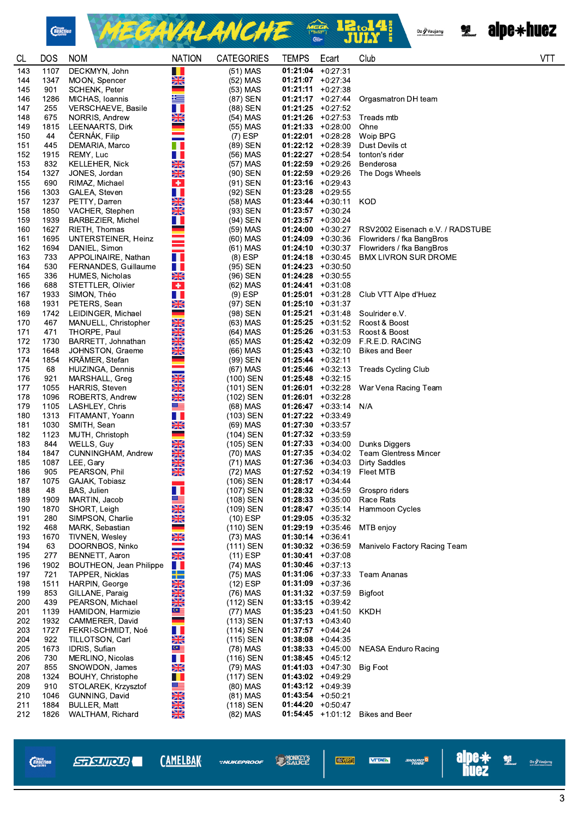



Oz / Vaujany<br>Alfredorius Gasso comand



| CL  | DOS  | <b>NOM</b>                     | <b>NATION</b>                   | <b>CATEGORIES</b> | <b>TEMPS</b>         | Ecart                | Club                             | <b>VTT</b> |
|-----|------|--------------------------------|---------------------------------|-------------------|----------------------|----------------------|----------------------------------|------------|
| 143 | 1107 | DECKMYN, John                  | ш                               | $(51)$ MAS        | 01:21:04             | $+0:27:31$           |                                  |            |
| 144 | 1347 | MOON, Spencer                  | $\frac{N}{2}$                   | (52) MAS          | $01:21:07$ +0:27:34  |                      |                                  |            |
| 145 | 901  | <b>SCHENK, Peter</b>           | =                               | (53) MAS          | 01:21:11             | $+0:27:38$           |                                  |            |
| 146 | 1286 | MICHAS, Ioannis                | 塗                               | (87) SEN          | $01:21:17$ +0:27 44  |                      | Orgasmatron DH team              |            |
| 147 | 255  | VERSCHAEVE, Basile             | Ш                               | (88) SEN          | $01:21:25$ +0:27:52  |                      |                                  |            |
| 148 | 675  | NORRIS, Andrew                 | NK<br>ZN                        | (54) MAS          | $01:21:26$ +0:27:53  |                      | Treads mtb                       |            |
| 149 | 1815 | LEENAARTS, Dirk                |                                 | (55) MAS          | $01:21:33 + 0:28:00$ |                      | Ohne                             |            |
| 150 | 44   | ČERNÁK, Filip                  |                                 | $(7)$ ESP         | 01:22:01             | $+0:28:28$           | Woip BPG                         |            |
| 151 | 445  | DEMARIA, Marco                 |                                 | (89) SEN          | $01:22:12$ +0:28:39  |                      | Dust Devils ct                   |            |
| 152 | 1915 | REMY, Luc                      | . .                             | (56) MAS          | $01:22:27 +0:28:54$  |                      | tonton's rider                   |            |
| 153 | 832  | <b>KELLEHER, Nick</b>          | NZ<br>ZR                        | (57) MAS          | $01:22:59$ +0:29.26  |                      | Benderosa                        |            |
| 154 | 1327 | JONES, Jordan                  | XK                              | (90) SEN          | $01:22:59$ +0:29:26  |                      | The Dogs Wheels                  |            |
| 155 | 690  | RIMAZ, Michael                 | $\bullet$                       | (91) SEN          | $01:23:16$ +0:29 43  |                      |                                  |            |
| 156 | 1303 | GALEA, Steven                  | H.                              | (92) SEN          | $01:23:28$ +0:29:55  |                      |                                  |            |
| 157 | 1237 | PETTY, Darren                  | $\frac{N}{2}$                   | (58) MAS          | $01:23:44$ +0:30:11  |                      | <b>KOD</b>                       |            |
| 158 | 1850 | VACHER, Stephen                | $\frac{N}{N}$                   | (93) SEN          | $01:23:57$ +0:30:24  |                      |                                  |            |
| 159 | 1939 | BARBEZIER, Michel              | . .                             | (94) SEN          | $01:23:57$ +0:30:24  |                      |                                  |            |
| 160 | 1627 | RIETH, Thomas                  |                                 | (59) MAS          |                      | $01:24:00$ +0:30:27  | RSV2002 Eisenach e.V. / RADSTUBE |            |
| 161 | 1695 | UNTERSTEINER, Heinz            |                                 | (60) MAS          | $01:24:09$ +0:30:36  |                      | Flowriders / fka BangBros        |            |
| 162 | 1694 | DANIEL, Simon                  |                                 | (61) MAS          |                      | $01:24:10 + 0:30:37$ | Flowriders / fka BangBros        |            |
| 163 | 733  | APPOLINAIRE, Nathan            | n n                             | $(8)$ ESP         | $01:24:18$ +0:30:45  |                      | <b>BMX LIVRON SUR DROME</b>      |            |
| 164 | 530  | FERNANDES, Guillaume           | H H                             | (95) SEN          | $01:24:23 + 0:30:50$ |                      |                                  |            |
| 165 | 336  | HUMES, Nicholas                | $\frac{N}{N}$                   | (96) SEN          | $01:24:28$ +0:30:55  |                      |                                  |            |
| 166 | 688  | STETTLER, Olivier              | ÷                               | (62) MAS          | 01:24:41             | $+0:31:08$           |                                  |            |
| 167 | 1933 | SIMON, Théo                    | H.                              | $(9)$ ESP         | 01:25:01             | $+0:31:28$           | Club VTT Alpe d'Huez             |            |
| 168 | 1931 | PETERS, Sean                   | $\frac{N}{ZN}$                  | (97) SEN          | 01:25:10             | $+0:31:37$           |                                  |            |
| 169 | 1742 | LEIDINGER, Michael             | -                               | (98) SEN          | 01:25:21             | $+0.31.48$           | Soulrider e.V.                   |            |
| 170 | 467  | MANUELL, Christopher           | XK                              | (63) MAS          |                      | $01:25:25$ +0:31:52  | Roost & Boost                    |            |
| 171 | 471  | THORPE, Paul                   | NZ                              | (64) MAS          | $01:25:26$ +0:31:53  |                      | Roost & Boost                    |            |
| 172 | 1730 | BARRETT, Johnathan             | <b>ZK</b>                       | (65) MAS          | $01:25:42 +0:32:09$  |                      | F.R.E.D. RACING                  |            |
| 173 | 1648 | JOHNSTON, Graeme               | $\frac{N}{2N}$                  | (66) MAS          |                      | $01:25:43 +0:32:10$  | <b>Bikes and Beer</b>            |            |
| 174 | 1854 | KRÄMER, Stefan                 |                                 | (99) SEN          | $01:25:44$ +0:32:11  |                      |                                  |            |
| 175 | 68   | HUIZINGA, Dennis               |                                 | (67) MAS          | $01:25:46$ +0:32:13  |                      | <b>Treads Cycling Club</b>       |            |
| 176 | 921  | MARSHALL, Greg                 | $\frac{N}{2}$                   | (100) SEN         | $01:25:48$ +0:32:15  |                      |                                  |            |
| 177 | 1055 | <b>HARRIS, Steven</b>          | NK<br>ZN                        | (101) SEN         | 01:26:01             | $+0:32:28$           | War Vena Racing Team             |            |
| 178 | 1096 | ROBERTS, Andrew                | NK<br>ZN                        | (102) SEN         | 01:26:01             | $+0.32.28$           |                                  |            |
| 179 | 1105 | LASHLEY, Chris                 | ▓▆                              | (68) MAS          | $01:26:47$ +0:33:14  |                      | N/A                              |            |
| 180 | 1313 | FITAMANT, Yoann                | Ш                               | (103) SEN         | $01:27:22 +0:33:49$  |                      |                                  |            |
| 181 | 1030 | SMITH, Sean                    | X                               | (69) MAS          | $01:27:30 +0:33:57$  |                      |                                  |            |
| 182 | 1123 | MUTH, Christoph                | - -                             | (104) SEN         | $01:27:32 +0:33:59$  |                      |                                  |            |
| 183 | 844  | WELLS, Guy                     | XK                              | (105) SEN         | $01:27:33 + 0:34:00$ |                      | Dunks Diggers                    |            |
| 184 | 1847 | CUNNINGHAM, Andrew             | X                               | (70) MAS          | $01:27:35 +0:34:02$  |                      | <b>Team Glentress Mincer</b>     |            |
| 185 | 1087 | LEE, Gary                      | NZ<br>ZN                        | (71) MAS          | $01:27:36$ +0:34:03  |                      | <b>Dirty Saddles</b>             |            |
| 186 | 905  | PEARSON, Phil                  | $\frac{N}{N}$                   | (72) MAS          | $01:27:52 +0:34:19$  |                      | Fleet MTB                        |            |
| 187 | 1075 | GAJAK, Tobiasz                 |                                 | (106) SEN         | $01:28:17 + 0:34:44$ |                      |                                  |            |
| 188 | 48   | BAS, Julien                    | ш                               | (107) SEN         | $01:28:32 +0:34:59$  |                      | Grospro riders                   |            |
| 189 | 1909 | MARTIN, Jacob                  | ▓▆                              | (108) SEN         |                      | $01:28:33 + 0:35:00$ | Race Rats                        |            |
| 190 | 1870 | SHORT, Leigh                   | NK<br>ZR                        | (109) SEN         | $01:28:47$ +0:35.14  |                      | Hammoon Cycles                   |            |
| 191 | 280  | SIMPSON, Charlie               | XK                              | $(10)$ ESP        | $01:29:05$ +0:35:32  |                      |                                  |            |
| 192 | 468  | MARK, Sebastian                | e e                             | (110) SEN         |                      | $01:29:19$ +0:35:46  | MTB enjoy                        |            |
| 193 | 1670 | TIVNEN, Wesley                 | XK                              | (73) MAS          | $01:30:14$ +0:36:41  |                      |                                  |            |
| 194 | 63   | DOORNBOS, Ninko                |                                 | (111) SEN         | $01:30:32 +0:36:59$  |                      | Manivelo Factory Racing Team     |            |
| 195 | 277  | BENNETT, Aaron                 | $\frac{\mathbf{N}}{\mathbf{N}}$ | $(11)$ ESP        | 01:30:41             | $+0:37:08$           |                                  |            |
| 196 | 1902 | <b>BOUTHEON, Jean Philippe</b> | H                               | (74) MAS          | $01:30:46$ +0:37:13  |                      |                                  |            |
| 197 | 721  | TAPPER, Nicklas                | ╈═                              | (75) MAS          | $01:31:06$ +0:37:33  |                      | Team Ananas                      |            |
| 198 | 1511 | HARPIN, George                 | $\frac{N}{2N}$                  | $(12)$ ESP        | $01:31:09$ +0:37:36  |                      |                                  |            |
| 199 | 853  | GILLANE, Paraig                | $\frac{N}{N}$                   | (76) MAS          | $01:31:32 +0:37:59$  |                      | <b>Bigfoot</b>                   |            |
| 200 | 439  | PEARSON, Michael               | X                               | (112) SEN         | $01:33:15 + 0:39:42$ |                      |                                  |            |
| 201 | 1139 | HAMIDON, Harmizie              | $\mathbf{C}$ $\equiv$           | (77) MAS          |                      | $01:35:23 +0:41:50$  | KKDH                             |            |
| 202 | 1932 | CAMMERER, David                | ٠                               | (113) SEN         | $01:37:13 + 0:43:40$ |                      |                                  |            |
| 203 | 1727 | FEKRI-SCHMIDT, Noé             | . .                             | (114) SEN         | $01:37:57$ +0:44:24  |                      |                                  |            |
| 204 | 922  | TILLOTSON, Carl                | XK                              | (115) SEN         | $01:38:08$ +0:44:35  |                      |                                  |            |
| 205 | 1673 | IDRIS, Sufian                  | $\circ$ $\equiv$                | (78) MAS          | $01:38:33 + 0:45:00$ |                      | <b>NEASA Enduro Racing</b>       |            |
| 206 | 730  | MERLINO, Nicolas               | H I                             | (116) SEN         | $01:38:45 + 0:4512$  |                      |                                  |            |
| 207 | 855  | SNOWDON, James                 | XK                              | (79) MAS          |                      | $01:41:03 +0:47:30$  | Big Foot                         |            |
| 208 | 1324 | BOUHY, Christophe              | H.                              | (117) SEN         | $01:43:02$ +0:49.29  |                      |                                  |            |
| 209 | 910  | STOLAREK, Krzysztof            | ▓≡                              | (80) MAS          | $01:43:12 +0:49:39$  |                      |                                  |            |
| 210 | 1046 | GUNNING, David                 |                                 | $(81)$ MAS        | $01:43:54$ +0:50:21  |                      |                                  |            |
| 211 | 1884 | <b>BULLER, Matt</b>            | NZNZNA                          | (118) SEN         | $01:44:20$ +0:50.47  |                      |                                  |            |
| 212 | 1826 | WALTHAM, Richard               |                                 | (82) MAS          |                      | $01:54:45$ +1:01:12  | <b>Bikes and Beer</b>            |            |

*Chain*<br>*Reaction* 

**\*NUKEPROOF** 

**CAMELBAK** 

**SAUCE VEOVERT**  angung<sup>e</sup><br>Tribe